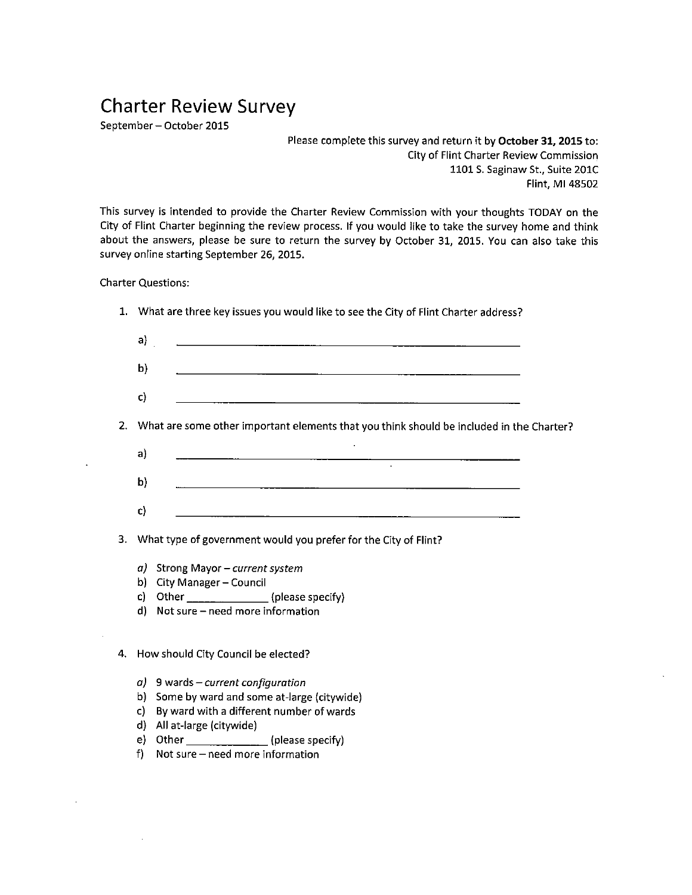## Charter Review Survey

September — October 2015

Please complete this survey and return it by October 31, 2015 to: City of Flint Charter Review Commission 1101 S. Saginaw St., Suite 201C Flint, Ml 48502

This survey is intended to provide the Charter Review Commission with your thoughts TODAY on the City of Flint Charter beginning the review process. If you would like to take the survey home and think about the answers, please be sure to return the survey by October 31, 2015. You can also take this survey online starting September 26, 2015.

Charter Questions:

|              | $\mathsf{a}$ ) and $\mathsf{a}$ and $\mathsf{a}$ and $\mathsf{a}$ and $\mathsf{a}$ and $\mathsf{a}$ and $\mathsf{a}$ and $\mathsf{a}$ and $\mathsf{a}$ and $\mathsf{a}$ and $\mathsf{a}$ and $\mathsf{a}$ and $\mathsf{a}$ and $\mathsf{a}$ and $\mathsf{a}$ and $\mathsf{a}$ and $\mathsf{a}$ and |  |
|--------------|----------------------------------------------------------------------------------------------------------------------------------------------------------------------------------------------------------------------------------------------------------------------------------------------------|--|
|              |                                                                                                                                                                                                                                                                                                    |  |
| $\mathbf{b}$ |                                                                                                                                                                                                                                                                                                    |  |
|              |                                                                                                                                                                                                                                                                                                    |  |
| c)           |                                                                                                                                                                                                                                                                                                    |  |
| a)           | 2. What are some other important elements that you think should be included in the Charter?                                                                                                                                                                                                        |  |
| b)           |                                                                                                                                                                                                                                                                                                    |  |

- a) Strong Mayor—current system
- b) City Manager— Council
- c) Other \_\_\_\_\_\_\_\_\_\_\_\_\_\_\_\_\_\_ (please specify)
- d) Not sure need more information

4. How should City Council be elected?

- $a)$  9 wards current configuration
- b) Some by ward and some at-large (citywide)
- c) By ward with <sup>a</sup> different number of wards
- d) All at-large (citywide)
- e) Other  $\frac{1}{\frac{1}{2}}$  (please specify)
- f) Not sure need more information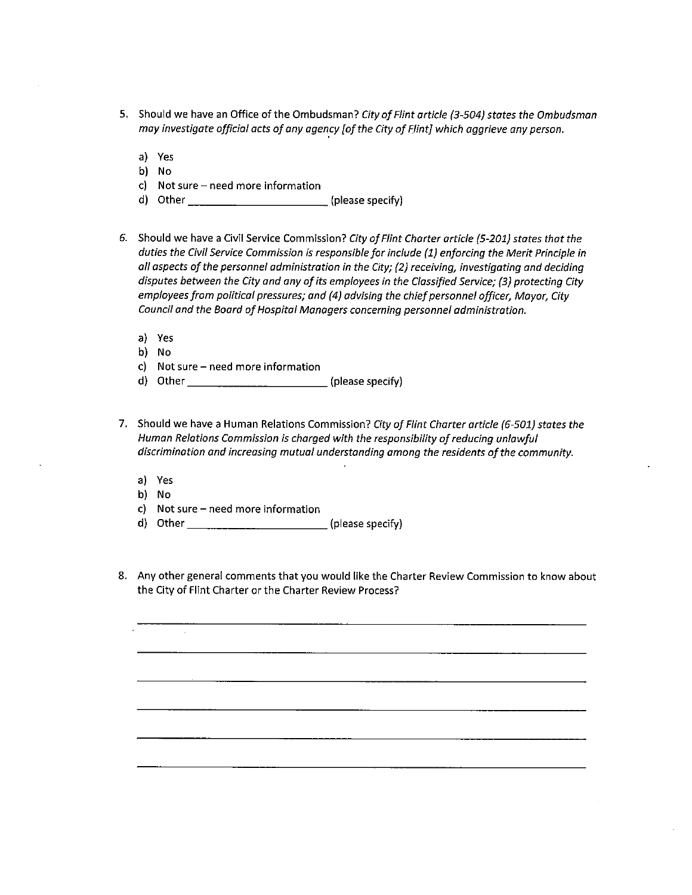- 5. Should we have an Office of the Ombudsman? City of Flint article (3-504) states the Ombudsman may investigate official acts of any agency [of the City of Flint] which aggrieve any person.
	- a) Yes
	- b) No
	- c) Not sure need more information
	- d) Other \_\_\_\_\_\_\_\_\_\_\_\_\_\_\_\_\_\_\_\_\_\_\_\_\_\_ (please specify)
- 6. Should we have <sup>a</sup> Civil Service Commission? City of Flint Charter article (5-201) states that the duties the Civil Service Commission is responsible for include (1) enforcing the Merit Principle in all aspects of the personnel administration in the City; (2) receiving, investigating and deciding disputes between the City and any of its employees in the Classified Service; (3) protecting City employees from political pressures; and (4) advising the chief personnel officer, Mayor, City Council and the Board of Hospital Managers concerning personnel administration.
	- a) Yes
	- b) No
	- c) Not sure need more information
	- d) Other  $\frac{1}{\sqrt{2}}$  (please specify)
- 7. Should we have a Human Relations Commission? City of Flint Charter article (6-501) states the Human Relations Commission is charged with the responsibility of reducing unlawful discrimination and increasing mutual understanding among the residents ofthe community.
	- a) Yes
	- b) No
	- c) Not sure need more information
	- d) Other \_\_\_\_\_\_\_\_\_\_\_\_\_\_\_\_\_\_\_\_\_\_\_\_\_\_ (please specify)
- 8. Any other general comments that you would like the Charter Review Commission to know about the City of Flint Charter or the Charter Review Process?